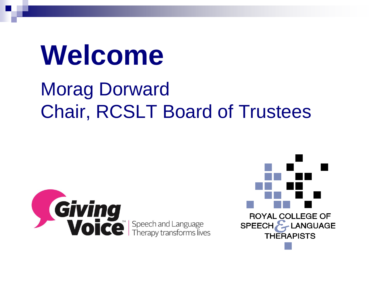# **Welcome**

### Morag Dorward Chair, RCSLT Board of Trustees



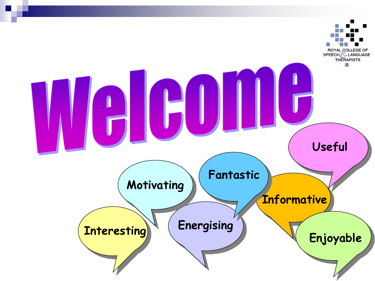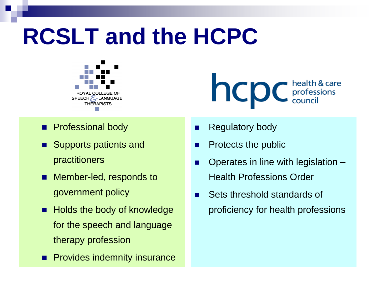## **RCSLT and the HCPC**



**Professional body** 

- Supports patients and practitioners
- Member-led, responds to government policy
- **Holds the body of knowledge** for the speech and language therapy profession
- **Provides indemnity insurance**

**NCDC** *chealth & care* 

- Regulatory body
- $\blacksquare$  Protects the public
- Operates in line with legislation Health Professions Order
- Sets threshold standards of proficiency for health professions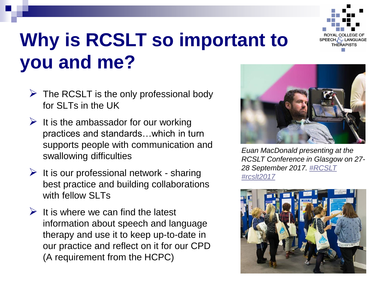

### **Why is RCSLT so important to you and me?**

- $\triangleright$  The RCSLT is the only professional body for SLTs in the UK
- $\triangleright$  It is the ambassador for our working practices and standards…which in turn supports people with communication and swallowing difficulties
- $\triangleright$  It is our professional network sharing best practice and building collaborations with fellow **SLTs**
- $\triangleright$  It is where we can find the latest information about speech and language therapy and use it to keep up-to-date in our practice and reflect on it for our CPD (A requirement from the HCPC)



*Euan MacDonald presenting at the RCSLT Conference in Glasgow on 27- 28 September 2017. [#RCSLT](https://www.instagram.com/explore/tags/rcslt/) [#rcslt2017](https://www.instagram.com/explore/tags/rcslt2017/)*

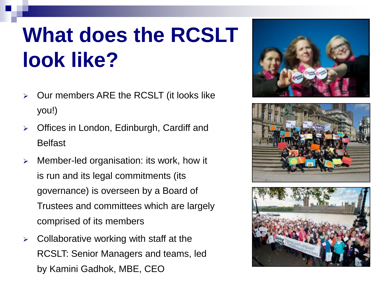## **What does the RCSLT look like?**

- Our members ARE the RCSLT (it looks like you!)
- $\triangleright$  Offices in London, Edinburgh, Cardiff and Belfast
- $\triangleright$  Member-led organisation: its work, how it is run and its legal commitments (its governance) is overseen by a Board of Trustees and committees which are largely comprised of its members
- $\triangleright$  Collaborative working with staff at the RCSLT: Senior Managers and teams, led by Kamini Gadhok, MBE, CEO





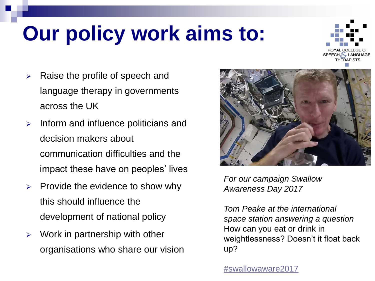## **Our policy work aims to:**



- $\triangleright$  Raise the profile of speech and language therapy in governments across the UK
- $\triangleright$  Inform and influence politicians and decision makers about communication difficulties and the impact these have on peoples' lives
- $\triangleright$  Provide the evidence to show why this should influence the development of national policy
- $\triangleright$  Work in partnership with other organisations who share our vision



*For our campaign Swallow Awareness Day 2017* 

*Tom Peake at the international space station answering a question*  How can you eat or drink in weightlessness? Doesn't it float back up?

[#swallowaware2017](https://www.facebook.com/hashtag/swallowaware2017?source=feed_text&story_id=1437586716281110)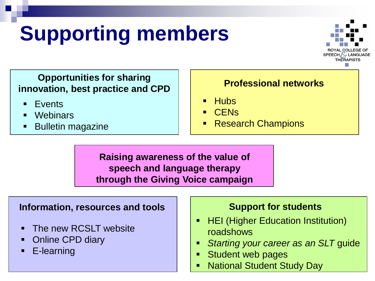## **Supporting members**



#### **Opportunities for sharing innovation, best practice and CPD**

- **Events**
- **Webinars**
- Bulletin magazine

#### **Professional networks**

- **Hubs**
- **CENs**
- Research Champions

**Raising awareness of the value of speech and language therapy through the Giving Voice campaign**

#### **Information, resources and tools**

- **The new RCSLT website**
- Online CPD diary
- **E-learning**

#### **Support for students**

- **F** HEI (Higher Education Institution) roadshows
- *Starting your career as an SLT* guide
- **Student web pages**
- **National Student Study Day**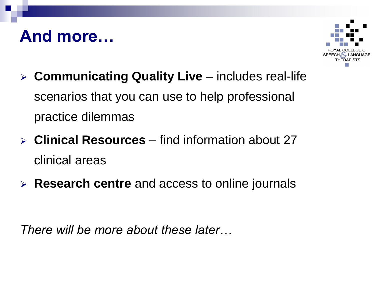### **And more…**



- **Communicating Quality Live**  includes real-life scenarios that you can use to help professional practice dilemmas
- **Clinical Resources**  find information about 27 clinical areas
- **Research centre** and access to online journals

*There will be more about these later…*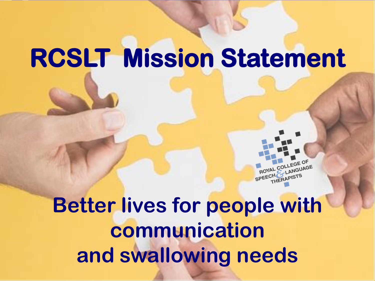# **RCSLT Mission Statement**



**Better lives for people with communication and swallowing needs**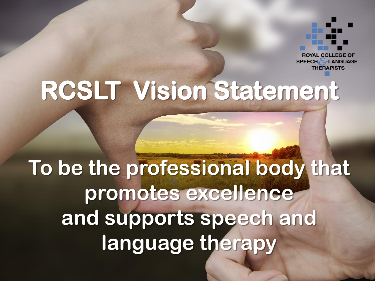

# **RCSLT Vision Statement**

## **To be the professional body that promotes excellence and supports speech and language therapy**